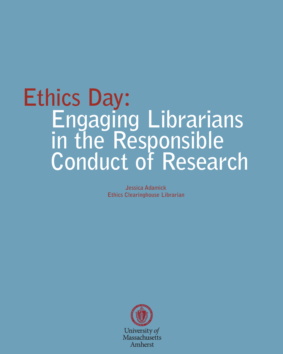# **Engaging Librarians in the Responsible Conduct of Research Ethics Day:**

**Jessica Adamick Ethics Clearinghouse Librarian**

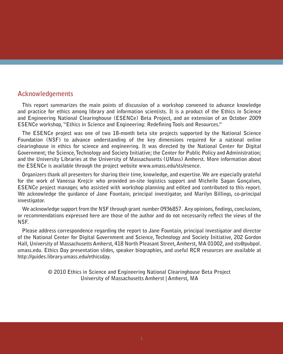#### **Acknowledgements**

**This report summarizes the main points of discussion of a workshop convened to advance knowledge and practice for ethics among library and information scientists. It is a product of the Ethics in Science and Engineering National Clearinghouse (ESENCe) Beta Project, and an extension of an October 2009 ESENCe workshop, "Ethics in Science and Engineering: Redefining Tools and Resources."** 

**The ESENCe project was one of two 18-month beta site projects supported by the National Science Foundation (NSF) to advance understanding of the key dimensions required for a national online clearinghouse in ethics for science and engineering. It was directed by the National Center for Digital Government; the Science, Technology and Society Initiative; the Center for Public Policy and Administration; and the University Libraries at the University of Massachusetts (UMass) Amherst. More information about the ESENCe is available through the project website www.umass.edu/sts/esence.**

**Organizers thank all presenters for sharing their time, knowledge, and expertise. We are especially grateful for the work of Vanessa Krejcir who provided on-site logistics support and Michelle Sagan Gonçalves, ESENCe project manager, who assisted with workshop planning and edited and contributed to this report. We acknowledge the guidance of Jane Fountain, principal investigator, and Marilyn Billings, co-principal investigator.**

**We acknowledge support from the NSF through grant number 0936857. Any opinions, findings, conclusions, or recommendations expressed here are those of the author and do not necessarily reflect the views of the NSF.** 

**Please address correspondence regarding the report to Jane Fountain, principal investigator and director of the National Center for Digital Government and Science, Technology and Society Initiative, 202 Gordon Hall, University of Massachusetts Amherst, 418 North Pleasant Street, Amherst, MA 01002, and sts@pubpol. umass.edu. Ethics Day presentation slides, speaker biographies, and useful RCR resources are available at http://guides.library.umass.edu/ethicsday.**

> **© 2010 Ethics in Science and Engineering National Clearinghouse Beta Project University of Massachusetts Amherst | Amherst, MA**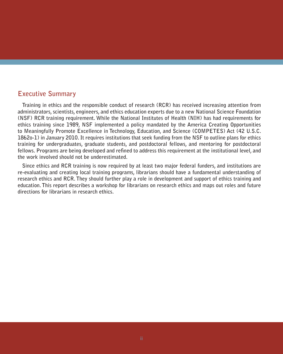## **Executive Summary**

**Training in ethics and the responsible conduct of research (RCR) has received increasing attention from administrators, scientists, engineers, and ethics education experts due to a new National Science Foundation (NSF) RCR training requirement. While the National Institutes of Health (NIH) has had requirements for ethics training since 1989, NSF implemented a policy mandated by the America Creating Opportunities to Meaningfully Promote Excellence in Technology, Education, and Science (COMPETES) Act (42 U.S.C. 1862o-1) in January 2010. It requires institutions that seek funding from the NSF to outline plans for ethics training for undergraduates, graduate students, and postdoctoral fellows, and mentoring for postdoctoral fellows. Programs are being developed and refined to address this requirement at the institutional level, and the work involved should not be underestimated.** 

**Since ethics and RCR training is now required by at least two major federal funders, and institutions are re-evaluating and creating local training programs, librarians should have a fundamental understanding of research ethics and RCR. They should further play a role in development and support of ethics training and education. This report describes a workshop for librarians on research ethics and maps out roles and future directions for librarians in research ethics.**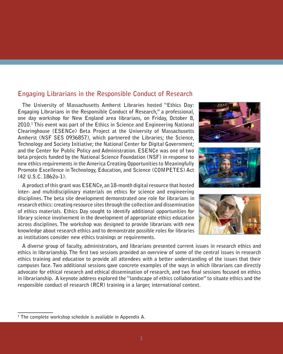## **Engaging Librarians in the Responsible Conduct of Research**

**The University of Massachusetts Amherst Libraries hosted "Ethics Day: Engaging Librarians in the Responsible Conduct of Research," a professional, one day workshop for New England area librarians, on Friday, October 8, 2010.1 This event was part of the Ethics in Science and Engineering National Clearinghouse (ESENCe) Beta Project at the University of Massachusetts Amherst (NSF SES 0936857), which partnered the Libraries; the Science, Technology and Society Initiative; the National Center for Digital Government; and the Center for Public Policy and Administration. ESENCe was one of two beta projects funded by the National Science Foundation (NSF) in response to new ethics requirements in the America Creating Opportunities to Meaningfully Promote Excellence in Technology, Education, and Science (COMPETES) Act (42 U.S.C. 1862o-1).**

**A product of this grant was ESENCe, an 18-month digital resource that hosted inter- and multidisciplinary materials on ethics for science and engineering disciplines. The beta site development demonstrated one role for librarians in research ethics: creating resource sites through the collection and dissemination of ethics materials. Ethics Day sought to identify additional opportunities for library science involvement in the development of appropriate ethics education across disciplines. The workshop was designed to provide librarians with new knowledge about research ethics and to demonstrate possible roles for libraries as institutions consider new ethics trainings or requirements.**







**A diverse group of faculty, administrators, and librarians presented current issues in research ethics and ethics in librarianship. The first two sessions provided an overview of some of the central issues in research ethics training and education to provide all attendees with a better understanding of the issues that their campuses face. Two additional sessions gave concrete examples of the ways in which librarians can directly advocate for ethical research and ethical dissemination of research, and two final sessions focused on ethics in librarianship. A keynote address explored the "landscape of ethics collaboration" to situate ethics and the responsible conduct of research (RCR) training in a larger, international context.**

**<sup>1</sup> The complete workshop schedule is available in Appendix A.**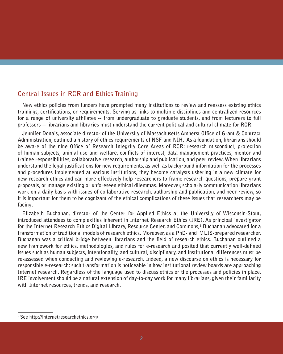# **Central Issues in RCR and Ethics Training**

**New ethics policies from funders have prompted many institutions to review and reassess existing ethics trainings, certifications, or requirements. Serving as links to multiple disciplines and centralized resources for a range of university affiliates -- from undergraduate to graduate students, and from lecturers to full professors -- librarians and libraries must understand the current political and cultural climate for RCR.**

**Jennifer Donais, associate director of the University of Massachusetts Amherst Office of Grant & Contract Administration, outlined a history of ethics requirements of NSF and NIH. As a foundation, librarians should be aware of the nine Office of Research Integrity Core Areas of RCR: research misconduct, protection of human subjects, animal use and welfare, conflicts of interest, data management practices, mentor and trainee responsibilities, collaborative research, authorship and publication, and peer review. When librarians understand the legal justifications for new requirements, as well as background information for the processes and procedures implemented at various institutions, they become catalysts ushering in a new climate for new research ethics and can more effectively help researchers to frame research questions, prepare grant proposals, or manage existing or unforeseen ethical dilemmas. Moreover, scholarly communication librarians work on a daily basis with issues of collaborative research, authorship and publication, and peer review, so it is important for them to be cognizant of the ethical complications of these issues that researchers may be facing.** 

**Elizabeth Buchanan, director of the Center for Applied Ethics at the University of Wisconsin-Stout, introduced attendees to complexities inherent in Internet Research Ethics (IRE). As principal investigator**  for the Internet Research Ethics Digital Library, Resource Center, and Commons,<sup>2</sup> Buchanan advocated for a **transformation of traditional models of research ethics. Moreover, as a PhD- and MLIS-prepared researcher, Buchanan was a critical bridge between librarians and the field of research ethics. Buchanan outlined a new framework for ethics, methodologies, and rules for e-research and posited that currently well-defined issues such as human subjects, intentionality, and cultural, disciplinary, and institutional differences must be re-assessed when conducting and reviewing e-research. Indeed, a new discourse on ethics is necessary for responsible e-research; such transformation is noticeable in how institutional review boards are approaching Internet research. Regardless of the language used to discuss ethics or the processes and policies in place, IRE involvement should be a natural extension of day-to-day work for many librarians, given their familiarity with Internet resources, trends, and research.** 

**<sup>2</sup> See http://internetresearchethics.org/**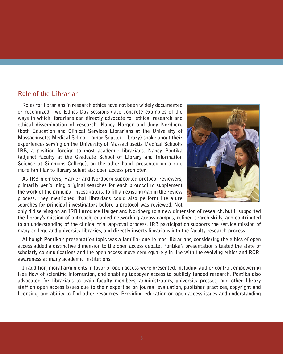#### **Role of the Librarian**

**Roles for librarians in research ethics have not been widely documented or recognized. Two Ethics Day sessions gave concrete examples of the ways in which librarians can directly advocate for ethical research and ethical dissemination of research. Nancy Harger and Judy Nordberg (both Education and Clinical Services Librarians at the University of Massachusetts Medical School Lamar Soutter Library) spoke about their experiences serving on the University of Massachusetts Medical School's IRB, a position foreign to most academic librarians. Nancy Pontika (adjunct faculty at the Graduate School of Library and Information Science at Simmons College), on the other hand, presented on a role more familiar to library scientists: open access promoter.**

**As IRB members, Harger and Nordberg supported protocol reviewers, primarily performing original searches for each protocol to supplement the work of the principal investigators. To fill an existing gap in the review process, they mentioned that librarians could also perform literature searches for principal investigators before a protocol was reviewed. Not** 



**only did serving on an IRB introduce Harger and Nordberg to a new dimension of research, but it supported the library's mission of outreach, enabled networking across campus, refined search skills, and contributed to an understanding of the clinical trial approval process. IRB participation supports the service mission of many college and university libraries, and directly inserts librarians into the faculty research process.**

**Although Pontika's presentation topic was a familiar one to most librarians, considering the ethics of open access added a distinctive dimension to the open access debate. Pontika's presentation situated the state of scholarly communications and the open access movement squarely in line with the evolving ethics and RCRawareness at many academic institutions.** 

**In addition, moral arguments in favor of open access were presented, including author control, empowering free flow of scientific information, and enabling taxpayer access to publicly funded research. Pontika also advocated for librarians to train faculty members, administrators, university presses, and other library staff on open access issues due to their expertise on journal evaluation, publisher practices, copyright and licensing, and ability to find other resources. Providing education on open access issues and understanding**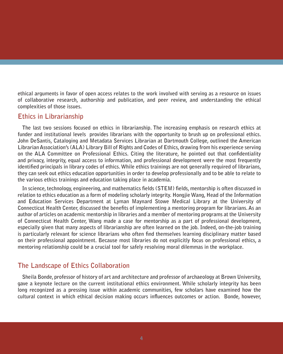**ethical arguments in favor of open access relates to the work involved with serving as a resource on issues of collaborative research, authorship and publication, and peer review, and understanding the ethical complexities of those issues.**

#### **Ethics in Librarianship**

**The last two sessions focused on ethics in librarianship. The increasing emphasis on research ethics at funder and institutional levels provides librarians with the opportunity to brush up on professional ethics. John DeSantis, Cataloging and Metadata Services Librarian at Dartmouth College, outlined the American Librarian Association's (ALA) Library Bill of Rights and Codes of Ethics, drawing from his experience serving on the ALA Committee on Professional Ethics. Citing the literature, he pointed out that confidentiality and privacy, integrity, equal access to information, and professional development were the most frequently identified principals in library codes of ethics. While ethics trainings are not generally required of librarians, they can seek out ethics education opportunities in order to develop professionally and to be able to relate to the various ethics trainings and education taking place in academia.**

**In science, technology, engineering, and mathematics fields (STEM) fields, mentorship is often discussed in relation to ethics education as a form of modeling scholarly integrity. Hongjie Wang, Head of the Information and Education Services Department at Lyman Maynard Stowe Medical Library at the University of Connecticut Health Center, discussed the benefits of implementing a mentoring program for librarians. As an author of articles on academic mentorship in libraries and a member of mentoring programs at the University of Connecticut Health Center, Wang made a case for mentorship as a part of professional development, especially given that many aspects of librarianship are often learned on the job. Indeed, on-the-job training is particularly relevant for science librarians who often find themselves learning disciplinary matter based on their professional appointment. Because most libraries do not explicitly focus on professional ethics, a mentoring relationship could be a crucial tool for safely resolving moral dilemmas in the workplace.**

## **The Landscape of Ethics Collaboration**

**Sheila Bonde, professor of history of art and architecture and professor of archaeology at Brown University, gave a keynote lecture on the current institutional ethics environment. While scholarly integrity has been long recognized as a pressing issue within academic communities, few scholars have examined how the cultural context in which ethical decision making occurs influences outcomes or action. Bonde, however,**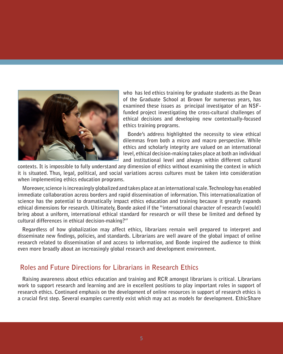

**who has led ethics training for graduate students as the Dean of the Graduate School at Brown for numerous years, has examined these issues as principal investigator of an NSFfunded project investigating the cross-cultural challenges of ethical decisions and developing new contextually-focused ethics training programs.** 

**Bonde's address highlighted the necessity to view ethical dilemmas from both a micro and macro perspective. While ethics and scholarly integrity are valued on an international level, ethical decision-making takes place at both an individual and institutional level and always within different cultural** 

**contexts. It is impossible to fully understand any dimension of ethics without examining the context in which it is situated. Thus, legal, political, and social variations across cultures must be taken into consideration when implementing ethics education programs.** 

**Moreover, science is increasingly globalized and takes place at an international scale. Technology has enabled immediate collaboration across borders and rapid dissemination of information. This internationalization of science has the potential to dramatically impact ethics education and training because it greatly expands ethical dimensions for research. Ultimately, Bonde asked if the "international character of research [would] bring about a uniform, international ethical standard for research or will these be limited and defined by cultural differences in ethical decision-making?"** 

**Regardless of how globalization may affect ethics, librarians remain well prepared to interpret and disseminate new findings, policies, and standards. Librarians are well aware of the global impact of online research related to dissemination of and access to information, and Bonde inspired the audience to think even more broadly about an increasingly global research and development environment.** 

## **Roles and Future Directions for Librarians in Research Ethics**

**Raising awareness about ethics education and training and RCR amongst librarians is critical. Librarians work to support research and learning and are in excellent positions to play important roles in support of research ethics. Continued emphasis on the development of online resources in support of research ethics is a crucial first step. Several examples currently exist which may act as models for development. EthicShare**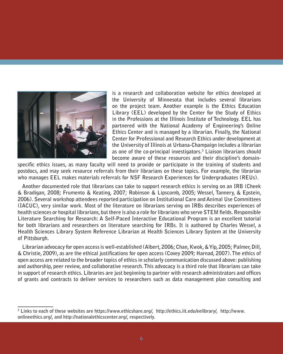

**is a research and collaboration website for ethics developed at the University of Minnesota that includes several librarians on the project team. Another example is the Ethics Education Library (EEL) developed by the Center for the Study of Ethics in the Professions at the Illinois Institute of Technology. EEL has partnered with the National Academy of Engineering's Online Ethics Center and is managed by a librarian. Finally, the National Center for Professional and Research Ethics under development at the University of Illinois at Urbana-Champaign includes a librarian as one of the co-principal investigators.3 Liaison librarians should become aware of these resources and their discipline's domain-**

**specific ethics issues, as many faculty will need to provide or participate in the training of students and postdocs, and may seek resource referrals from their librarians on these topics. For example, the librarian who manages EEL makes materials referrals for NSF Research Experiences for Undergraduates (REUs).** 

**Another documented role that librarians can take to support research ethics is serving on an IRB (Cheek & Bradigan, 2008; Frumento & Keating, 2007; Robinson & Lipscomb, 2005; Wessel, Tannery, & Epstein, 2006). Several workshop attendees reported participation on Institutional Care and Animal Use Committees (IACUC), very similar work. Most of the literature on librarians serving on IRBs describes experiences of health sciences or hospital librarians, but there is also a role for librarians who serve STEM fields. Responsible Literature Searching for Research: A Self-Paced Interactive Educational Program is an excellent tutorial for both librarians and researchers on literature searching for IRBs. It is authored by Charles Wessel, a Health Sciences Library System Reference Librarian at Health Sciences Library System at the University of Pittsburgh.** 

**Librarian advocacy for open access is well-established (Albert, 2006; Chan, Kwok, & Yip, 2005; Palmer, Dill, & Christie, 2009), as are the ethical justifications for open access (Covey 2009; Harnad, 2007). The ethics of open access are related to the broader topics of ethics in scholarly communication discussed above: publishing and authorship, peer review, and collaborative research. This advocacy is a third role that librarians can take in support of research ethics. Libraries are just beginning to partner with research administrators and offices of grants and contracts to deliver services to researchers such as data management plan consulting and**

**<sup>3</sup> Links to each of these websites are https://www.ethicshare.org/, http://ethics.iit.edu/eelibrary/, http://www. onlineethics.org/, and http://nationalethicscenter.org/, respectively.**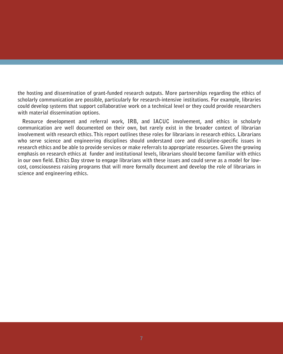**the hosting and dissemination of grant-funded research outputs. More partnerships regarding the ethics of scholarly communication are possible, particularly for research-intensive institutions. For example, libraries could develop systems that support collaborative work on a technical level or they could provide researchers with material dissemination options.**

**Resource development and referral work, IRB, and IACUC involvement, and ethics in scholarly communication are well documented on their own, but rarely exist in the broader context of librarian involvement with research ethics. This report outlines these roles for librarians in research ethics. Librarians who serve science and engineering disciplines should understand core and discipline-specific issues in research ethics and be able to provide services or make referrals to appropriate resources. Given the growing emphasis on research ethics at funder and institutional levels, librarians should become familiar with ethics in our own field. Ethics Day strove to engage librarians with these issues and could serve as a model for lowcost, consciousness raising programs that will more formally document and develop the role of librarians in science and engineering ethics.**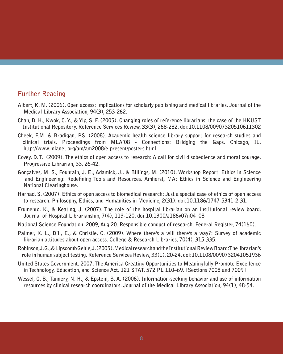### **Further Reading**

- **Albert, K. M. (2006). Open access: implications for scholarly publishing and medical libraries. Journal of the Medical Library Association, 94(3), 253-262.**
- **Chan, D. H., Kwok, C. Y., & Yip, S. F. (2005). Changing roles of reference librarians: the case of the HKUST Institutional Repository. Reference Services Review, 33(3), 268-282. doi:10.1108/00907320510611302**
- **Cheek, F.M. & Bradigan, P.S. (2008). Academic health science library support for research studies and clinical trials. Proceedings from MLA'08 - Connections: Bridging the Gaps. Chicago, IL. http://www.mlanet.org/am/am2008/e-present/posters.html**
- **Covey, D. T. (2009). The ethics of open access to research: A call for civil disobedience and moral courage. Progressive Librarian, 33, 26-42.**
- **Gonçalves, M. S., Fountain, J. E., Adamick, J., & Billings, M. (2010). Workshop Report. Ethics in Science and Engineering: Redefining Tools and Resources. Amherst, MA: Ethics in Science and Engineering National Clearinghouse.**
- **Harnad, S. (2007). Ethics of open access to biomedical research: Just a special case of ethics of open access to research. Philosophy, Ethics, and Humanities in Medicine, 2(31). doi:10.1186/1747-5341-2-31.**
- **Frumento, K., & Keating, J. (2007). The role of the hospital librarian on an institutional review board. Journal of Hospital Librarianship, 7(4), 113-120. doi:10.1300/J186v07n04\_08**
- **National Science Foundation. 2009, Aug 20. Responsible conduct of research. Federal Register, 74(160).**
- **Palmer, K. L., Dill, E., & Christie, C. (2009). Where there's a will there's a way?: Survey of academic librarian attitudes about open access. College & Research Libraries, 70(4), 315-335.**
- **Robinson, J. G., & Lipscomb Gehle, J. (2005). Medical research and the Institutional Review Board: The librarian's role in human subject testing. Reference Services Review, 33(1), 20-24. doi:10.1108/0090732041051936**
- **United States Government. 2007. The America Creating Opportunities to Meaningfully Promote Excellence in Technology, Education, and Science Act. 121 STAT. 572 PL 110–69. [Sections 7008 and 7009]**
- **Wessel, C. B., Tannery, N. H., & Epstein, B. A. (2006). Information-seeking behavior and use of information resources by clinical research coordinators. Journal of the Medical Library Association, 94(1), 48-54.**